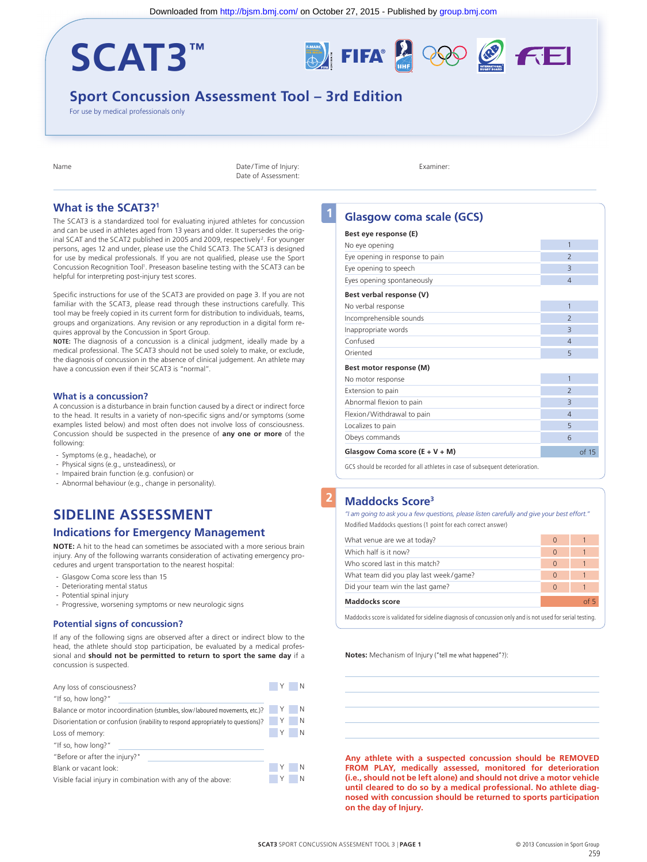**1**





# **Sport Concussion Assessment Tool – 3rd edition**

For use by medical professionals only

Name Date/Time of Injury: Date of Assessment: Examiner:

# **What is the SCAT3?1**

the SCAt3 is a standardized tool for evaluating injured athletes for concussion and can be used in athletes aged from 13 years and older. It supersedes the original SCAT and the SCAT2 published in 2005 and 2009, respectively<sup>2</sup>. For younger persons, ages 12 and under, please use the Child SCAT3. The SCAT3 is designed for use by medical professionals. If you  are not qualifi ed, please use  the  Sport  Concussion Recognition Tool<sup>1</sup>. Preseason baseline testing with the SCAT3 can be helpful for interpreting post-injury test scores.

Specific instructions for use of the SCAT3 are provided on page 3. If you are not familiar with the SCAT3, please read through these instructions carefully. This tool may be freely copied in its current form for distribution to individuals, teams, groups and organizations. Any revision or any reproduction in a digital form requires approval by the Concussion in Sport Group.

**NOTE:** the diagnosis of a concussion is a clinical judgment, ideally made by a medical professional. The SCAT3 should not be used solely to make, or exclude, the diagnosis of concussion in the absence of clinical judgement. An athlete may have a concussion even if their SCAT3 is "normal".

#### **What is a concussion?**

A concussion is a disturbance in brain function caused by a direct or indirect force to the head. It results in a variety of non-specific signs and/or symptoms (some examples listed below) and most often does not involve loss of consciousness. Concussion should be suspected in the presence of **any one or more** of the following:

- Symptoms (e.g., headache), or
- Physical signs (e.g., unsteadiness), or
- Impaired brain function (e.g. confusion) or
- Abnormal behaviour (e.g., change in personality).

# **Sideline ASSeSSmenT**

# **indications for Emergency Management**

**noTe:** A hit to the head can sometimes be associated with a more serious brain injury. Any of the following warrants consideration of activating emergency procedures and urgent transportation to the nearest hospital:

- Glasgow Coma score less than 15
- Deteriorating mental status
- potential spinal injury
- progressive, worsening symptoms or new neurologic signs

### **Potential signs of concussion?**

If any of the following signs are observed after a direct or indirect blow to the head, the athlete should stop participation, be evaluated by a medical professional and **should not be permitted to return to sport the same day** if a concussion is suspected.

| Any loss of consciousness?                                                     |            | I <sub>N</sub> |
|--------------------------------------------------------------------------------|------------|----------------|
| "If so, how long?"                                                             |            |                |
| Balance or motor incoordination (stumbles, slow/laboured movements, etc.)?     | <b>I</b> Y | <b>N</b>       |
| Disorientation or confusion (inability to respond appropriately to questions)? | <b>Y</b>   | <b>N</b>       |
| Loss of memory:                                                                |            | <b>N</b>       |
| "If so, how long?"                                                             |            |                |
| "Before or after the injury?"                                                  |            |                |
| Blank or vacant look:                                                          |            | I N            |
| Visible facial injury in combination with any of the above:                    | Y          | N              |

# **glasgow coma scale (gCS)**

| Best eye response (E)            |                          |
|----------------------------------|--------------------------|
| No eye opening                   | $\overline{1}$           |
| Eye opening in response to pain  | $\overline{\phantom{0}}$ |
| Eye opening to speech            | $\overline{3}$           |
| Eyes opening spontaneously       | $\Delta$                 |
| Best verbal response (V)         |                          |
| No verbal response               | $\overline{1}$           |
| Incomprehensible sounds          | $\overline{\phantom{0}}$ |
| Inappropriate words              | $\overline{\mathcal{L}}$ |
| Confused                         | $\overline{4}$           |
| Oriented                         | 5                        |
| Best motor response (M)          |                          |
| No motor response                | $\overline{1}$           |
| Extension to pain                | $\overline{\phantom{0}}$ |
| Abnormal flexion to pain         | $\overline{3}$           |
| Flexion/Withdrawal to pain       | $\Delta$                 |
| Localizes to pain                | 5                        |
| Obeys commands                   | 6                        |
| Glasgow Coma score $(E + V + M)$ | of 15                    |

GCS should be recorded for all athletes in case of subsequent deterioration.

# **2 maddocks Score3**

*"I am going to ask you a few questions, please listen carefully and give your best effort."* Modified Maddocks questions (1 point for each correct answer)

| Maddocks score is validated for sideline diagnosis of concussion only and is not used for serial testing. |          |      |
|-----------------------------------------------------------------------------------------------------------|----------|------|
| <b>Maddocks score</b>                                                                                     |          | of 5 |
| Did your team win the last game?                                                                          | $\Omega$ |      |
| What team did you play last week/game?                                                                    | $\Omega$ |      |
| Who scored last in this match?                                                                            | $\Omega$ |      |
| Which half is it now?                                                                                     | $\Omega$ |      |
| What venue are we at today?                                                                               | $\Omega$ |      |

**Notes:** Mechanism of Injury ("tell me what happened"?):

Any athlete with a suspected concussion should be REMOVED **From PlAy, medically assessed, monitored for deterioration (i.e., should not be left alone) and should not drive a motor vehicle until cleared to do so by a medical professional. no athlete diagnosed with concussion should be returned to sports participation on the day of injury.**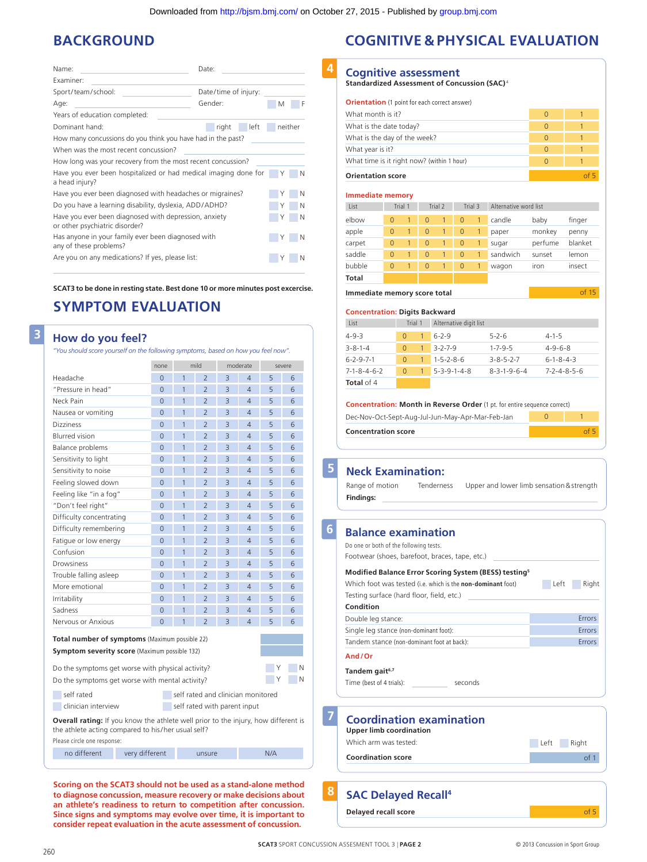| Name:                                                                                   | Date:                |         |  |  |  |
|-----------------------------------------------------------------------------------------|----------------------|---------|--|--|--|
| Examiner:                                                                               |                      |         |  |  |  |
| Sport/team/school:                                                                      | Date/time of injury: |         |  |  |  |
| Age:                                                                                    | Gender:              | М       |  |  |  |
| Years of education completed:                                                           |                      |         |  |  |  |
| Dominant hand:                                                                          | left<br>right        | neither |  |  |  |
| How many concussions do you think you have had in the past?                             |                      |         |  |  |  |
| When was the most recent concussion?                                                    |                      |         |  |  |  |
| How long was your recovery from the most recent concussion?                             |                      |         |  |  |  |
| Have you ever been hospitalized or had medical imaging done for<br>a head injury?       |                      |         |  |  |  |
| Have you ever been diagnosed with headaches or migraines?<br>N                          |                      |         |  |  |  |
| Do you have a learning disability, dyslexia, ADD/ADHD?                                  | N                    |         |  |  |  |
| Have you ever been diagnosed with depression, anxiety<br>or other psychiatric disorder? |                      |         |  |  |  |
| Has anyone in your family ever been diagnosed with<br>any of these problems?            |                      | N       |  |  |  |
| Are you on any medications? If yes, please list:                                        |                      |         |  |  |  |

**SCAT3 to be done in resting state. Best done 10 or more minutes post excercise.** 

# **Symptom Evaluation**

# **3 How do you feel?**

*"You should score yourself on the following symptoms, based on how you feel now".*

|                                                                                                                                          |                | mild<br>none   |                | moderate<br>severe       |   |                          |     |   |
|------------------------------------------------------------------------------------------------------------------------------------------|----------------|----------------|----------------|--------------------------|---|--------------------------|-----|---|
| Headache                                                                                                                                 |                | $\Omega$       | 1              | $\overline{2}$           | 3 | 4                        | 5   | 6 |
| "Pressure in head"                                                                                                                       |                | $\Omega$       | $\overline{1}$ | $\overline{\phantom{0}}$ | 3 | $\overline{\mathcal{A}}$ | 5   | 6 |
| Neck Pain                                                                                                                                |                | $\Omega$       | $\mathbf{1}$   | $\overline{2}$           | 3 | $\overline{4}$           | 5   | 6 |
| Nausea or vomiting                                                                                                                       |                | $\Omega$       | 1              | $\overline{2}$           | 3 | 4                        | 5   | 6 |
| <b>Dizziness</b>                                                                                                                         |                | $\Omega$       | 1              | $\overline{2}$           | 3 | 4                        | 5   | 6 |
| <b>Blurred</b> vision                                                                                                                    |                | $\Omega$       | 1              | $\overline{2}$           | 3 | 4                        | 5   | 6 |
| <b>Balance problems</b>                                                                                                                  |                | $\Omega$       | 1              | $\overline{2}$           | 3 | 4                        | 5   | 6 |
| Sensitivity to light                                                                                                                     |                | $\overline{0}$ | 1              | $\overline{2}$           | 3 | $\overline{4}$           | 5   | 6 |
| Sensitivity to noise                                                                                                                     |                | $\overline{0}$ | 1              | $\overline{2}$           | 3 | $\overline{4}$           | 5   | 6 |
| Feeling slowed down                                                                                                                      |                | $\Omega$       | 1              | $\overline{2}$           | 3 | 4                        | 5   | 6 |
| Feeling like "in a fog"                                                                                                                  |                | $\Omega$       | 1              | $\overline{2}$           | 3 | 4                        | 5   | 6 |
| "Don't feel right"                                                                                                                       |                | $\Omega$       | 1              | $\overline{2}$           | 3 | 4                        | 5   | 6 |
| Difficulty concentrating                                                                                                                 |                | $\overline{0}$ | 1              | $\overline{2}$           | 3 | $\overline{4}$           | 5   | 6 |
| Difficulty remembering                                                                                                                   |                | $\Omega$       | 1              | $\overline{2}$           | 3 | 4                        | 5   | 6 |
| Fatigue or low energy                                                                                                                    |                | $\Omega$       | 1              | $\overline{2}$           | 3 | 4                        | 5   | 6 |
| Confusion                                                                                                                                |                | $\Omega$       | $\overline{1}$ | $\overline{2}$           | 3 | $\overline{4}$           | 5   | 6 |
| Drowsiness                                                                                                                               |                | $\overline{0}$ | $\mathbf{1}$   | $\overline{2}$           | 3 | $\overline{4}$           | 5   | 6 |
| Trouble falling asleep                                                                                                                   |                | $\Omega$       | 1              | $\overline{2}$           | 3 | 4                        | 5   | 6 |
| More emotional                                                                                                                           |                | $\Omega$       | 1              | $\overline{2}$           | 3 | 4                        | 5   | 6 |
| Irritability                                                                                                                             |                | $\Omega$       | 1              | $\overline{2}$           | 3 | 4                        | 5   | 6 |
| Sadness                                                                                                                                  |                | $\overline{0}$ | 1              | $\overline{2}$           | 3 | 4                        | 5   | 6 |
| Nervous or Anxious                                                                                                                       |                | $\Omega$       | 1              | $\overline{2}$           | 3 | 4                        | 5   | 6 |
| Total number of symptoms (Maximum possible 22)<br><b>Symptom severity score (Maximum possible 132)</b>                                   |                |                |                |                          |   |                          |     |   |
| Do the symptoms get worse with physical activity?                                                                                        |                |                |                |                          |   |                          |     | Ν |
| Do the symptoms get worse with mental activity?                                                                                          |                |                |                |                          |   |                          | Υ   | N |
| self rated and clinician monitored<br>self rated                                                                                         |                |                |                |                          |   |                          |     |   |
| clinician interview<br>self rated with parent input                                                                                      |                |                |                |                          |   |                          |     |   |
| Overall rating: If you know the athlete well prior to the injury, how different is<br>the athlete acting compared to his/her usual self? |                |                |                |                          |   |                          |     |   |
| Please circle one response:                                                                                                              |                |                |                |                          |   |                          |     |   |
| no different                                                                                                                             | very different |                |                | unsure                   |   |                          | N/A |   |

**Scoring on the SCAT3 should not be used as a stand-alone method to diagnose concussion, measure recovery or make decisions about an athlete's readiness to return to competition after concussion. Since signs and symptoms may evolve over time, it is important to consider repeat evaluation in the acute assessment of concussion.**

# **Background Cognitive & Physical Evaluation**

# **4 Cognitive assessment Standardized Assessment of Concussion (SAC)** <sup>4</sup>

| <b>Orientation score</b>                             |          | of 5 |
|------------------------------------------------------|----------|------|
| What time is it right now? (within 1 hour)           | $\Omega$ |      |
| What year is it?                                     | $\Omega$ |      |
| What is the day of the week?                         | $\Omega$ |      |
| What is the date today?                              | $\Omega$ |      |
| What month is it?                                    | $\Omega$ |      |
| <b>Orientation</b> (1 point for each correct answer) |          |      |

### **Immediate memory**

| List                         |          | Trial 1 |                | Trial 2 |          | Trial 3      | Alternative word list |         |          |
|------------------------------|----------|---------|----------------|---------|----------|--------------|-----------------------|---------|----------|
| elbow                        | $\Omega$ |         | $\Omega$       |         | $\Omega$ | $\mathbf{1}$ | candle                | baby    | finger   |
| apple                        | $\Omega$ |         | $\overline{0}$ | 1       | $\Omega$ | 1            | paper                 | monkey  | penny    |
| carpet                       | $\Omega$ | 1       | $\Omega$       | 1       | $\Omega$ | 1            | sugar                 | perfume | blanket  |
| saddle                       | $\Omega$ |         | $\Omega$       | 1       | $\Omega$ | 1            | sandwich              | sunset  | lemon    |
| bubble                       | $\Omega$ | 1       | $\Omega$       | 1       | $\Omega$ | 1            | wagon                 | iron    | insect   |
| <b>Total</b>                 |          |         |                |         |          |              |                       |         |          |
| Immediate memory score total |          |         |                |         |          |              |                       |         | ∩f<br>15 |

#### **Concentration: Digits Backward**

| List                    |          | Trial 1 | Alternative digit list  |                         |                         |
|-------------------------|----------|---------|-------------------------|-------------------------|-------------------------|
| $4 - 9 - 3$             | $\Omega$ |         | $6 - 2 - 9$             | $5 - 2 - 6$             | $4 - 1 - 5$             |
| $3 - 8 - 1 - 4$         | $\Omega$ |         | $3 - 7 - 7 - 9$         | $1 - 7 - 9 - 5$         | $4 - 9 - 6 - 8$         |
| $6 - 2 - 9 - 7 - 1$     | $\Omega$ |         | $1 - 5 - 2 - 8 - 6$     | $3 - 8 - 5 - 2 - 7$     | $6 - 1 - 8 - 4 - 3$     |
| $7 - 1 - 8 - 4 - 6 - 2$ | $\Omega$ | $\sim$  | $5 - 3 - 9 - 1 - 4 - 8$ | $8 - 3 - 1 - 9 - 6 - 4$ | $7 - 2 - 4 - 8 - 5 - 6$ |
| Total of 4              |          |         |                         |                         |                         |

#### **Concentration: Month in Reverse Order** (1 pt. for entire sequence correct)

| Dec-Nov-Oct-Sept-Aug-Jul-Jun-May-Apr-Mar-Feb-Jan |  |
|--------------------------------------------------|--|
| <b>Concentration score</b>                       |  |

#### **Neck Examination: 5**

Range of motion Tenderness Upper and lower limb sensation & strength **Findings:**

# **Balance examination**

**6**

**7**

Do one or both of the following tests.

Footwear (shoes, barefoot, braces, tape, etc.)

# **Modified Balance Error Scoring System (BESS) testing<sup>5</sup>**

| Which foot was tested (i.e. which is the non-dominant foot) | Left | Right  |
|-------------------------------------------------------------|------|--------|
| Testing surface (hard floor, field, etc.)                   |      |        |
| Condition                                                   |      |        |
| Double leg stance:                                          |      | Errors |
| Single leg stance (non-dominant foot):                      |      | Errors |
| Tandem stance (non-dominant foot at back):                  |      | Errors |
| And/Or                                                      |      |        |
| Tandem gait <sup>6,7</sup>                                  |      |        |
| Time (best of 4 trials):<br>seconds                         |      |        |
|                                                             |      |        |

# **Coordination examination**

**Upper limb coordination** Which arm was tested: Contract the Contract of Left Right **Coordination score** of 1

**8 SAC Delayed Recall4**

**Delayed recall score of 5**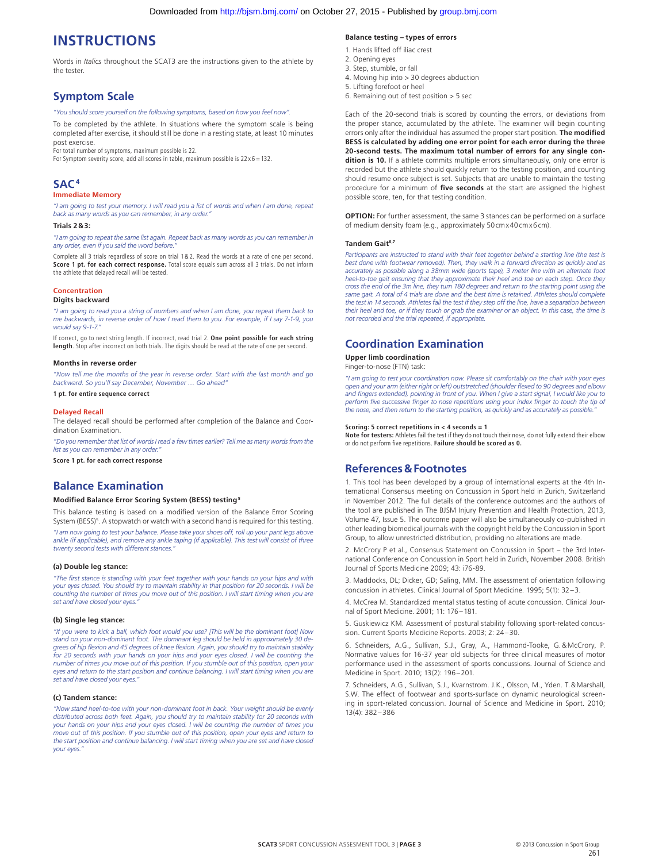# **Instructions**

Words in *Italics* throughout the SCAT3 are the instructions given to the athlete by the tester.

# **Symptom Scale**

#### *"You should score yourself on the following symptoms, based on how you feel now".*

To be completed by the athlete. In situations where the symptom scale is being completed after exercise, it should still be done in a resting state, at least 10 minutes post exercise.

For total number of symptoms, maximum possible is 22.

For Symptom severity score, add all scores in table, maximum possible is  $22 \times 6 = 132$ .

### **SAC4**

#### **Immediate Memory**

*"I am going to test your memory. I will read you a list of words and when I am done, repeat back as many words as you can remember, in any order."* 

#### **Trials 2&3:**

*"I am going to repeat the same list again. Repeat back as many words as you can remember in any order, even if you said the word before."*

Complete all 3 trials regardless of score on trial 1 & 2. Read the words at a rate of one per second. **Score 1 pt. for each correct response.** Total score equals sum across all 3 trials. Do not inform the athlete that delayed recall will be tested.

### **Concentration**

#### **Digits backward**

*"I am going to read you a string of numbers and when I am done, you repeat them back to me backwards, in reverse order of how I read them to you. For example, if I say 7-1-9, you would say 9-1-7."* 

If correct, go to next string length. If incorrect, read trial 2. **One point possible for each string length**. Stop after incorrect on both trials. The digits should be read at the rate of one per second.

#### **Months in reverse order**

*"Now tell me the months of the year in reverse order. Start with the last month and go backward. So you'll say December, November … Go ahead"*

**1 pt. for entire sequence correct**

#### **Delayed Recall**

The delayed recall should be performed after completion of the Balance and Coordination Examination.

*"Do you remember that list of words I read a few times earlier? Tell me as many words from the list as you can remember in any order.* 

**Score 1 pt. for each correct response**

### **Balance Examination**

### **Modified Balance Error Scoring System (BESS) testing<sup>5</sup>**

This balance testing is based on a modified version of the Balance Error Scoring System (BESS)<sup>5</sup>. A stopwatch or watch with a second hand is required for this testing. *"I am now going to test your balance. Please take your shoes off, roll up your pant legs above ankle (if applicable), and remove any ankle taping (if applicable). This test will consist of three twenty second tests with different stances."*

#### **(a) Double leg stance:**

*"The first stance is standing with your feet together with your hands on your hips and with your eyes closed. You should try to maintain stability in that position for 20 seconds. I will be counting the number of times you move out of this position. I will start timing when you are set and have closed your eyes."*

#### **(b) Single leg stance:**

*"If you were to kick a ball, which foot would you use? [This will be the dominant foot] Now stand on your non-dominant foot. The dominant leg should be held in approximately 30 de-grees of hip flexion and 45 degrees of knee flexion. Again, you should try to maintain stability for 20 seconds with your hands on your hips and your eyes closed. I will be counting the number of times you move out of this position. If you stumble out of this position, open your eyes and return to the start position and continue balancing. I will start timing when you are set and have closed your eyes."* 

#### **(c) Tandem stance:**

*"Now stand heel-to-toe with your non-dominant foot in back. Your weight should be evenly distributed across both feet. Again, you should try to maintain stability for 20 seconds with your hands on your hips and your eyes closed. I will be counting the number of times you move out of this position. If you stumble out of this position, open your eyes and return to the start position and continue balancing. I will start timing when you are set and have closed your eyes."*

### **Balance testing – types of errors**

- 1. Hands lifted off iliac crest
- 2. Opening eyes
- 3. Step, stumble, or fall
- 4. Moving hip into > 30 degrees abduction
- 5. Lifting forefoot or heel 6. Remaining out of test position > 5 sec
- 

Each of the 20-second trials is scored by counting the errors, or deviations from the proper stance, accumulated by the athlete. The examiner will begin counting errors only after the individual has assumed the proper start position. **The modified BESS is calculated by adding one error point for each error during the three 20-second tests. The maximum total number of errors for any single con**dition is 10. If a athlete commits multiple errors simultaneously, only one error is recorded but the athlete should quickly return to the testing position, and counting should resume once subject is set. Subjects that are unable to maintain the testing procedure for a minimum of **five seconds** at the start are assigned the highest possible score, ten, for that testing condition.

**OPTION:** For further assessment, the same 3 stances can be performed on a surface of medium density foam (e.g., approximately 50 cm x 40 cm x 6 cm).

#### **Tandem Gait6,7**

*Participants are instructed to stand with their feet together behind a starting line (the test is best done with footwear removed). Then, they walk in a forward direction as quickly and as accurately as possible along a 38mm wide (sports tape), 3 meter line with an alternate foot*  heel-to-toe gait ensuring that they approximate their heel and toe on each step. Once they *cross the end of the 3m line, they turn 180 degrees and return to the starting point using the same gait. A total of 4 trials are done and the best time is retained. Athletes should complete*  the test in 14 seconds. Athletes fail the test if they step off the line, have a separation between<br>their heel and toe, or if they touch or grab the examiner or an object. In this case, the time is *not recorded and the trial repeated, if appropriate.*

### **Coordination Examination**

### **Upper limb coordination**

Finger-to-nose (FTN) task:

"I am going to test your coordination now. Please sit comfortably on the chair with your eyes<br>open and your arm (either right or left) outstretched (shoulder flexed to 90 degrees and elbow<br>and fingers extended), pointing i *perform five successive finger to nose repetitions using your index finger to touch the tip of the nose, and then return to the starting position, as quickly and as accurately as possible."*

#### **Scoring: 5 correct repetitions in < 4 seconds = 1**

**Note for testers:** Athletes fail the test if they do not touch their nose, do not fully extend their elbow or do not perform five repetitions. **Failure should be scored as 0.**

### **References&Footnotes**

1. This tool has been developed by a group of international experts at the 4th International Consensus meeting on Concussion in Sport held in Zurich, Switzerland in November 2012. The full details of the conference outcomes and the authors of the tool are published in The BJSM Injury Prevention and Health Protection, 2013, Volume 47, Issue 5. The outcome paper will also be simultaneously co-published in other leading biomedical journals with the copyright held by the Concussion in Sport Group, to allow unrestricted distribution, providing no alterations are made.

2. McCrory P et al., Consensus Statement on Concussion in Sport – the 3rd International Conference on Concussion in Sport held in Zurich, November 2008. British Journal of Sports Medicine 2009; 43: i76-89.

3. Maddocks, DL; Dicker, GD; Saling, MM. The assessment of orientation following concussion in athletes. Clinical Journal of Sport Medicine. 1995; 5(1): 32 – 3.

4. McCrea M. Standardized mental status testing of acute concussion. Clinical Journal of Sport Medicine. 2001; 11: 176–181.

5. Guskiewicz KM. Assessment of postural stability following sport-related concussion. Current Sports Medicine Reports. 2003; 2: 24–30.

6. Schneiders, A.G., Sullivan, S.J., Gray, A., Hammond-Tooke, G.& McCrory, P. Normative values for 16-37 year old subjects for three clinical measures of motor performance used in the assessment of sports concussions. Journal of Science and Medicine in Sport. 2010; 13(2): 196 – 201.

7. Schneiders, A.G., Sullivan, S.J., Kvarnstrom. J.K., Olsson, M., Yden. T.& Marshall, S.W. The effect of footwear and sports-surface on dynamic neurological screening in sport-related concussion. Journal of Science and Medicine in Sport. 2010; 13(4): 382 – 386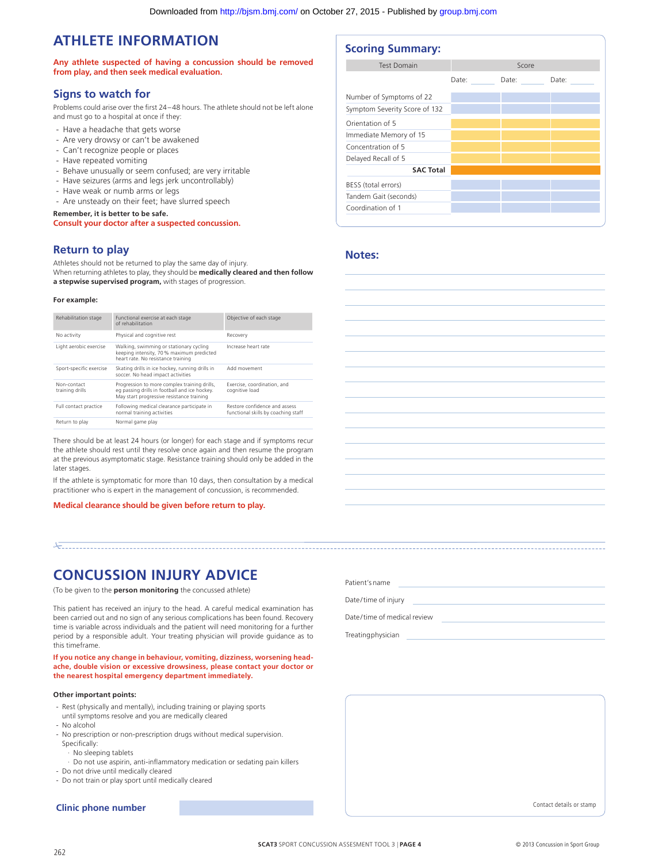# **Athlete Information**

**Any athlete suspected of having a concussion should be removed from play, and then seek medical evaluation.**

# **Signs to watch for**

Problems could arise over the first 24 – 48 hours. The athlete should not be left alone and must go to a hospital at once if they:

- Have a headache that gets worse
- Are very drowsy or can't be awakened
- Can't recognize people or places
- Have repeated vomiting
- Behave unusually or seem confused; are very irritable
- Have seizures (arms and legs jerk uncontrollably)
- Have weak or numb arms or legs
- Are unsteady on their feet; have slurred speech

**Remember, it is better to be safe.** 

**Consult your doctor after a suspected concussion.**

# **Return to play**

Athletes should not be returned to play the same day of injury. When returning athletes to play, they should be **medically cleared and then follow a stepwise supervised program,** with stages of progression.

#### **For example:**

| Rehabilitation stage           | Functional exercise at each stage<br>of rehabilitation                                                                                     | Objective of each stage                                              |
|--------------------------------|--------------------------------------------------------------------------------------------------------------------------------------------|----------------------------------------------------------------------|
| No activity                    | Physical and cognitive rest                                                                                                                | Recovery                                                             |
| Light aerobic exercise         | Walking, swimming or stationary cycling<br>keeping intensity, 70% maximum predicted<br>heart rate. No resistance training                  | Increase heart rate                                                  |
| Sport-specific exercise        | Skating drills in ice hockey, running drills in<br>soccer. No head impact activities                                                       | Add movement                                                         |
| Non-contact<br>training drills | Progression to more complex training drills,<br>eq passing drills in football and ice hockey.<br>May start progressive resistance training | Exercise, coordination, and<br>cognitive load                        |
| Full contact practice          | Following medical clearance participate in<br>normal training activities                                                                   | Restore confidence and assess<br>functional skills by coaching staff |
| Return to play                 | Normal game play                                                                                                                           |                                                                      |

There should be at least 24 hours (or longer) for each stage and if symptoms recur the athlete should rest until they resolve once again and then resume the program at the previous asymptomatic stage. Resistance training should only be added in the later stages.

If the athlete is symptomatic for more than 10 days, then consultation by a medical practitioner who is expert in the management of concussion, is recommended.

#### **Medical clearance should be given before return to play.**

# **Scoring Summary:**

|                  | Score |       |  |
|------------------|-------|-------|--|
| Date:            | Date: | Date: |  |
|                  |       |       |  |
|                  |       |       |  |
|                  |       |       |  |
|                  |       |       |  |
|                  |       |       |  |
|                  |       |       |  |
| <b>SAC Total</b> |       |       |  |
|                  |       |       |  |
|                  |       |       |  |
|                  |       |       |  |
|                  |       |       |  |

### **Notes:**

**Concussion injury advice**

(To be given to the **person monitoring** the concussed athlete)

This patient has received an injury to the head. A careful medical examination has been carried out and no sign of any serious complications has been found. Recovery time is variable across individuals and the patient will need monitoring for a further period by a responsible adult. Your treating physician will provide guidance as to this timeframe.

**If you notice any change in behaviour, vomiting, dizziness, worsening headache, double vision or excessive drowsiness, please contact your doctor or the nearest hospital emergency department immediately.**

#### **Other important points:**

- Rest (physically and mentally), including training or playing sports
- until symptoms resolve and you are medically cleared
- No alcohol
- No prescription or non-prescription drugs without medical supervision. Specifically:
	- · No sleeping tablets
	- · Do not use aspirin, anti-inflammatory medication or sedating pain killers
- Do not drive until medically cleared
- Do not train or play sport until medically cleared

**Clinic phone number**

| Patient's name              |  |
|-----------------------------|--|
| Date/time of injury         |  |
| Date/time of medical review |  |
| Treatingphysician           |  |
|                             |  |

Contact details or stamp